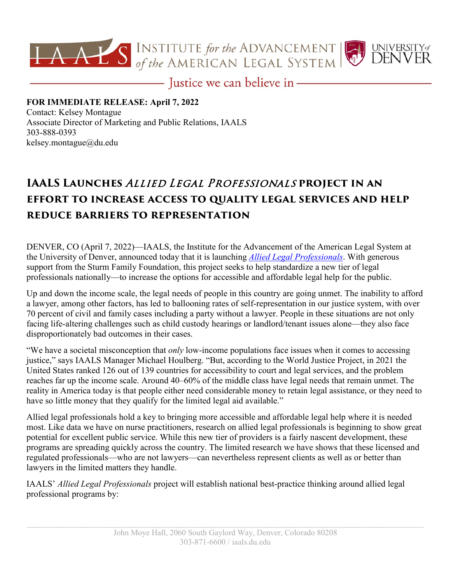



- Justice we can believe in-

## **FOR IMMEDIATE RELEASE: April 7, 2022** Contact: Kelsey Montague Associate Director of Marketing and Public Relations, IAALS 303-888-0393 [kelsey.montague@du.edu](mailto:kelsey.montague@du.edu)

## **IAALS Launches** Allied Legal Professionals **project in an effort to increase access to quality legal services and help reduce barriers to representation**

DENVER, CO (April 7, 2022)—IAALS, the Institute for the Advancement of the American Legal System at the University of Denver, announced today that it is launching *[Allied Legal Professionals](https://iaals.du.edu/projects/allied-legal-professionals)*. With generous support from the Sturm Family Foundation, this project seeks to help standardize a new tier of legal professionals nationally—to increase the options for accessible and affordable legal help for the public.

Up and down the income scale, the legal needs of people in this country are going unmet. The inability to afford a lawyer, among other factors, has led to ballooning rates of self-representation in our justice system, with over 70 percent of civil and family cases including a party without a lawyer. People in these situations are not only facing life-altering challenges such as child custody hearings or landlord/tenant issues alone—they also face disproportionately bad outcomes in their cases.

"We have a societal misconception that *only* low-income populations face issues when it comes to accessing justice," says IAALS Manager Michael Houlberg. "But, according to the World Justice Project, in 2021 the United States ranked 126 out of 139 countries for accessibility to court and legal services, and the problem reaches far up the income scale. Around 40–60% of the middle class have legal needs that remain unmet. The reality in America today is that people either need considerable money to retain legal assistance, or they need to have so little money that they qualify for the limited legal aid available."

Allied legal professionals hold a key to bringing more accessible and affordable legal help where it is needed most. Like data we have on nurse practitioners, research on allied legal professionals is beginning to show great potential for excellent public service. While this new tier of providers is a fairly nascent development, these programs are spreading quickly across the country. The limited research we have shows that these licensed and regulated professionals—who are not lawyers—can nevertheless represent clients as well as or better than lawyers in the limited matters they handle.

IAALS' *Allied Legal Professionals* project will establish national best-practice thinking around allied legal professional programs by: